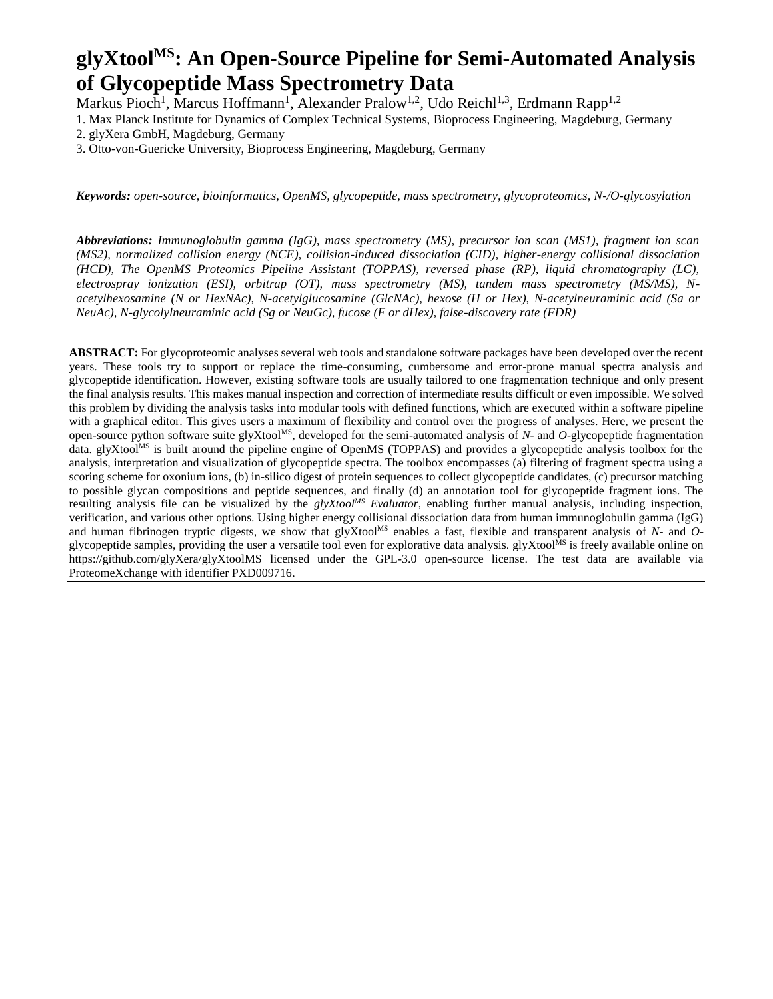# **glyXtoolMS: An Open-Source Pipeline for Semi-Automated Analysis of Glycopeptide Mass Spectrometry Data**

Markus Pioch<sup>1</sup>, Marcus Hoffmann<sup>1</sup>, Alexander Pralow<sup>1,2</sup>, Udo Reichl<sup>1,3</sup>, Erdmann Rapp<sup>1,2</sup>

1. Max Planck Institute for Dynamics of Complex Technical Systems, Bioprocess Engineering, Magdeburg, Germany 2. glyXera GmbH, Magdeburg, Germany

3. Otto-von-Guericke University, Bioprocess Engineering, Magdeburg, Germany

*Keywords: open-source, bioinformatics, OpenMS, glycopeptide, mass spectrometry, glycoproteomics, N-/O-glycosylation*

*Abbreviations: Immunoglobulin gamma (IgG), mass spectrometry (MS), precursor ion scan (MS1), fragment ion scan (MS2), normalized collision energy (NCE), collision-induced dissociation (CID), higher-energy collisional dissociation (HCD), The OpenMS Proteomics Pipeline Assistant (TOPPAS), reversed phase (RP), liquid chromatography (LC), electrospray ionization (ESI), orbitrap (OT), mass spectrometry (MS), tandem mass spectrometry (MS/MS), Nacetylhexosamine (N or HexNAc), N-acetylglucosamine (GlcNAc), hexose (H or Hex), N-acetylneuraminic acid (Sa or NeuAc), N-glycolylneuraminic acid (Sg or NeuGc), fucose (F or dHex), false-discovery rate (FDR)*

**ABSTRACT:** For glycoproteomic analyses several web tools and standalone software packages have been developed over the recent years. These tools try to support or replace the time-consuming, cumbersome and error-prone manual spectra analysis and glycopeptide identification. However, existing software tools are usually tailored to one fragmentation technique and only present the final analysis results. This makes manual inspection and correction of intermediate results difficult or even impossible. We solved this problem by dividing the analysis tasks into modular tools with defined functions, which are executed within a software pipeline with a graphical editor. This gives users a maximum of flexibility and control over the progress of analyses. Here, we present the open-source python software suite glyXtool<sup>MS</sup>, developed for the semi-automated analysis of *N*- and *O*-glycopeptide fragmentation data. glyXtool<sup>MS</sup> is built around the pipeline engine of OpenMS (TOPPAS) and provides a glycopeptide analysis toolbox for the analysis, interpretation and visualization of glycopeptide spectra. The toolbox encompasses (a) filtering of fragment spectra using a scoring scheme for oxonium ions, (b) in-silico digest of protein sequences to collect glycopeptide candidates, (c) precursor matching to possible glycan compositions and peptide sequences, and finally (d) an annotation tool for glycopeptide fragment ions. The resulting analysis file can be visualized by the *glyXtoolMS Evaluator*, enabling further manual analysis, including inspection, verification, and various other options. Using higher energy collisional dissociation data from human immunoglobulin gamma (IgG) and human fibrinogen tryptic digests, we show that glyXtool<sup>MS</sup> enables a fast, flexible and transparent analysis of *N*- and *O*glycopeptide samples, providing the user a versatile tool even for explorative data analysis. glyXtool<sup>Ms</sup> is freely available online on https://github.com/glyXera/glyXtoolMS licensed under the GPL-3.0 open-source license. The test data are available via ProteomeXchange with identifier PXD009716.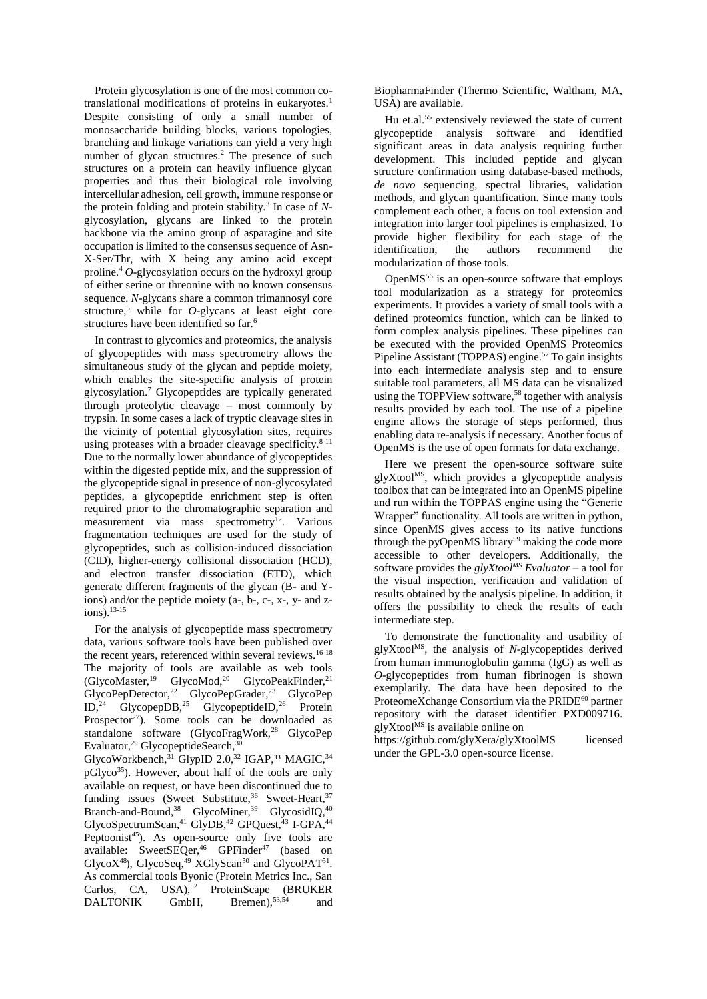Protein glycosylation is one of the most common cotranslational modifications of proteins in eukaryotes.<sup>1</sup> Despite consisting of only a small number of monosaccharide building blocks, various topologies, branching and linkage variations can yield a very high number of glycan structures.<sup>2</sup> The presence of such structures on a protein can heavily influence glycan properties and thus their biological role involving intercellular adhesion, cell growth, immune response or the protein folding and protein stability.<sup>3</sup> In case of Nglycosylation, glycans are linked to the protein backbone via the amino group of asparagine and site occupation is limited to the consensus sequence of Asn-X-Ser/Thr, with X being any amino acid except proline.<sup>4</sup> *O*-glycosylation occurs on the hydroxyl group of either serine or threonine with no known consensus sequence. *N*-glycans share a common trimannosyl core structure,<sup>5</sup> while for *O*-glycans at least eight core structures have been identified so far.<sup>6</sup>

In contrast to glycomics and proteomics, the analysis of glycopeptides with mass spectrometry allows the simultaneous study of the glycan and peptide moiety, which enables the site-specific analysis of protein glycosylation.<sup>7</sup> Glycopeptides are typically generated through proteolytic cleavage – most commonly by trypsin. In some cases a lack of tryptic cleavage sites in the vicinity of potential glycosylation sites, requires using proteases with a broader cleavage specificity. $8-11$ Due to the normally lower abundance of glycopeptides within the digested peptide mix, and the suppression of the glycopeptide signal in presence of non-glycosylated peptides, a glycopeptide enrichment step is often required prior to the chromatographic separation and measurement via mass spectrometry<sup>12</sup>. Various fragmentation techniques are used for the study of glycopeptides, such as collision-induced dissociation (CID), higher-energy collisional dissociation (HCD), and electron transfer dissociation (ETD), which generate different fragments of the glycan (B- and Yions) and/or the peptide moiety (a-, b-, c-, x-, y- and zions).13-15

For the analysis of glycopeptide mass spectrometry data, various software tools have been published over the recent years, referenced within several reviews.<sup>16-18</sup> The majority of tools are available as web tools (GlycoMaster,<sup>19</sup> GlycoMod,<sup>20</sup> GlycoPeakFinder,<sup>21</sup> GlycoPepDetector,<sup>22</sup> GlycoPepGrader,<sup>23</sup> GlycoPep ID,<sup>24</sup> GlycopepDB,<sup>25</sup> GlycopeptideID,<sup>26</sup> Protein Prospector<sup>27</sup>). Some tools can be downloaded as standalone software (GlycoFragWork,<sup>28</sup> GlycoPep Evaluator,<sup>29</sup> GlycopeptideSearch,<sup>30</sup> GlycoWorkbench, $^{31}$  GlypID 2.0, $^{32}$  IGAP, $^{33}$  MAGIC, $^{34}$  $pGlyco<sup>35</sup>$ ). However, about half of the tools are only available on request, or have been discontinued due to funding issues (Sweet Substitute,  $36$  Sweet-Heart,  $37$ Branch-and-Bound,  $38$  GlycoMiner,  $39$  GlycosidIQ,  $40$ GlycoSpectrumScan,<sup>41</sup> GlyDB,<sup>42</sup> GPQuest,<sup>43</sup> I-GPA,<sup>44</sup> Peptoonist<sup>45</sup>). As open-source only five tools are available: SweetSEQer,<sup>46</sup> GPFinder<sup>47</sup> (based on GlycoX<sup>48</sup>), GlycoSeq,<sup>49</sup> XGlyScan<sup>50</sup> and GlycoPAT<sup>51</sup>. As commercial tools Byonic (Protein Metrics Inc., San Carlos, CA, USA),<sup>52</sup> ProteinScape (BRUKER DALTONIK GmbH, Bremen), 53,54 and

BiopharmaFinder (Thermo Scientific, Waltham, MA, USA) are available.

Hu et.al. <sup>55</sup> extensively reviewed the state of current glycopeptide analysis software and identified significant areas in data analysis requiring further development. This included peptide and glycan structure confirmation using database-based methods, *de novo* sequencing, spectral libraries, validation methods, and glycan quantification. Since many tools complement each other, a focus on tool extension and integration into larger tool pipelines is emphasized. To provide higher flexibility for each stage of the identification, the authors recommend the modularization of those tools.

OpenMS<sup>56</sup> is an open-source software that employs tool modularization as a strategy for proteomics experiments. It provides a variety of small tools with a defined proteomics function, which can be linked to form complex analysis pipelines. These pipelines can be executed with the provided OpenMS Proteomics Pipeline Assistant (TOPPAS) engine.<sup>57</sup> To gain insights into each intermediate analysis step and to ensure suitable tool parameters, all MS data can be visualized using the TOPPView software,<sup>58</sup> together with analysis results provided by each tool. The use of a pipeline engine allows the storage of steps performed, thus enabling data re-analysis if necessary. Another focus of OpenMS is the use of open formats for data exchange.

Here we present the open-source software suite glyXtoolMS, which provides a glycopeptide analysis toolbox that can be integrated into an OpenMS pipeline and run within the TOPPAS engine using the "Generic Wrapper" functionality. All tools are written in python, since OpenMS gives access to its native functions through the pyOpenMS library<sup>59</sup> making the code more accessible to other developers. Additionally, the software provides the *glyXtoolMS Evaluator* – a tool for the visual inspection, verification and validation of results obtained by the analysis pipeline. In addition, it offers the possibility to check the results of each intermediate step.

To demonstrate the functionality and usability of glyXtoolMS, the analysis of *N*-glycopeptides derived from human immunoglobulin gamma (IgG) as well as *O*-glycopeptides from human fibrinogen is shown exemplarily. The data have been deposited to the ProteomeXchange Consortium via the PRIDE<sup>60</sup> partner repository with the dataset identifier PXD009716. glyXtool<sup>MS</sup> is available online on

https://github.com/glyXera/glyXtoolMS licensed under the GPL-3.0 open-source license.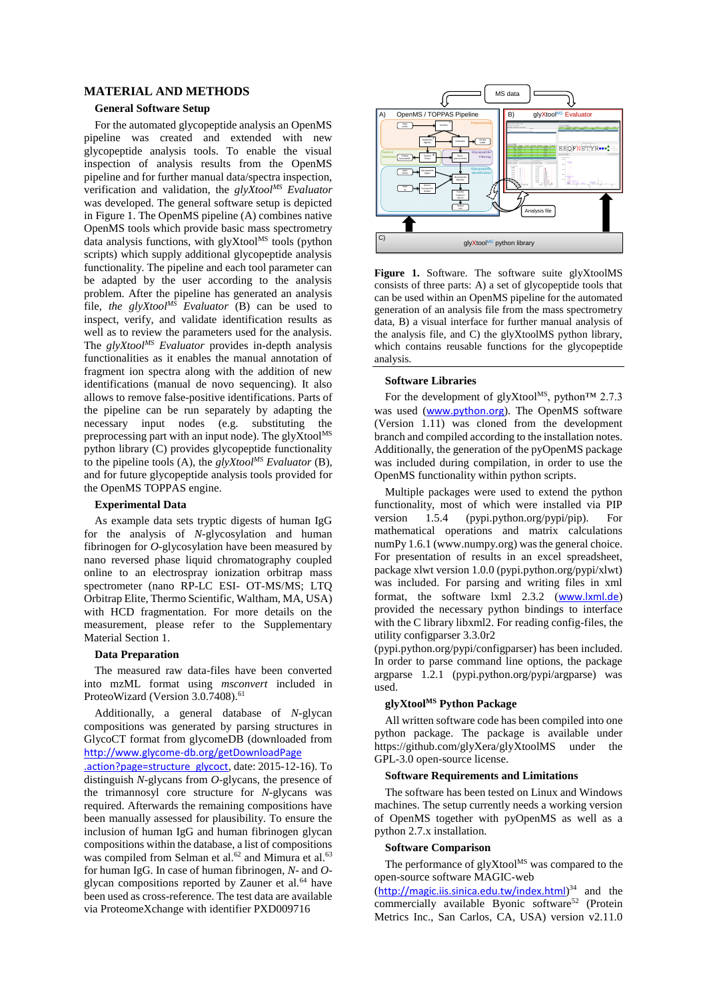# **MATERIAL AND METHODS**

#### **General Software Setup**

For the automated glycopeptide analysis an OpenMS pipeline was created and extended with new glycopeptide analysis tools. To enable the visual inspection of analysis results from the OpenMS pipeline and for further manual data/spectra inspection, verification and validation, the *glyXtoolMS Evaluator*  was developed. The general software setup is depicted in Figure 1. The OpenMS pipeline (A) combines native OpenMS tools which provide basic mass spectrometry data analysis functions, with  $glyX$ tool<sup>MS</sup> tools (python scripts) which supply additional glycopeptide analysis functionality. The pipeline and each tool parameter can be adapted by the user according to the analysis problem. After the pipeline has generated an analysis file, *the glyXtoolMS Evaluator* (B) can be used to inspect, verify, and validate identification results as well as to review the parameters used for the analysis. The *glyXtoolMS Evaluator* provides in-depth analysis functionalities as it enables the manual annotation of fragment ion spectra along with the addition of new identifications (manual de novo sequencing). It also allows to remove false-positive identifications. Parts of the pipeline can be run separately by adapting the necessary input nodes (e.g. substituting the preprocessing part with an input node). The gly $\widehat{X}$ tool<sup>MS</sup> python library (C) provides glycopeptide functionality to the pipeline tools (A), the *glyXtoolMS Evaluator* (B), and for future glycopeptide analysis tools provided for the OpenMS TOPPAS engine.

#### **Experimental Data**

As example data sets tryptic digests of human IgG for the analysis of *N*-glycosylation and human fibrinogen for *O*-glycosylation have been measured by nano reversed phase liquid chromatography coupled online to an electrospray ionization orbitrap mass spectrometer (nano RP-LC ESI- OT-MS/MS; LTQ Orbitrap Elite, Thermo Scientific, Waltham, MA, USA) with HCD fragmentation. For more details on the measurement, please refer to the Supplementary Material Section 1.

#### **Data Preparation**

The measured raw data-files have been converted into mzML format using *msconvert* included in ProteoWizard (Version 3.0.7408).<sup>61</sup>

Additionally, a general database of *N*-glycan compositions was generated by parsing structures in GlycoCT format from glycomeDB (downloaded from [http://www.glycome-db.org/getDownloadPage](http://www.glycome-db.org/getDownloadPage.action?page=structure_glycoct)

[.action?page=structure\\_glycoct](http://www.glycome-db.org/getDownloadPage.action?page=structure_glycoct), date: 2015-12-16). To distinguish *N*-glycans from *O*-glycans, the presence of the trimannosyl core structure for *N*-glycans was required. Afterwards the remaining compositions have been manually assessed for plausibility. To ensure the inclusion of human IgG and human fibrinogen glycan compositions within the database, a list of compositions was compiled from Selman et al.<sup>62</sup> and Mimura et al.<sup>63</sup> for human IgG. In case of human fibrinogen, *N*- and *O*glycan compositions reported by Zauner et al.<sup>64</sup> have been used as cross-reference. The test data are available via ProteomeXchange with identifier PXD009716



**Figure 1.** Software. The software suite glyXtoolMS consists of three parts: A) a set of glycopeptide tools that can be used within an OpenMS pipeline for the automated generation of an analysis file from the mass spectrometry data, B) a visual interface for further manual analysis of the analysis file, and C) the glyXtoolMS python library, which contains reusable functions for the glycopeptide analysis.

#### **Software Libraries**

For the development of glyXtool<sup>MS</sup>, python<sup>TM</sup> 2.7.3 was used ([www.python.org](http://www.python.org/)). The OpenMS software (Version 1.11) was cloned from the development branch and compiled according to the installation notes. Additionally, the generation of the pyOpenMS package was included during compilation, in order to use the OpenMS functionality within python scripts.

Multiple packages were used to extend the python functionality, most of which were installed via PIP version 1.5.4 (pypi.python.org/pypi/pip). For mathematical operations and matrix calculations numPy 1.6.1 (www.numpy.org) was the general choice. For presentation of results in an excel spreadsheet, package xlwt version 1.0.0 (pypi.python.org/pypi/xlwt) was included. For parsing and writing files in xml format, the software lxml 2.3.2 ([www.lxml.de](http://www.lxml.de/)) provided the necessary python bindings to interface with the C library libxml2. For reading config-files, the utility configparser 3.3.0r2

(pypi.python.org/pypi/configparser) has been included. In order to parse command line options, the package argparse 1.2.1 (pypi.python.org/pypi/argparse) was used.

# **glyXtoolMS Python Package**

All written software code has been compiled into one python package. The package is available under https://github.com/glyXera/glyXtoolMS under the GPL-3.0 open-source license.

#### **Software Requirements and Limitations**

The software has been tested on Linux and Windows machines. The setup currently needs a working version of OpenMS together with pyOpenMS as well as a python 2.7.x installation.

#### **Software Comparison**

The performance of  $q$ lyXtool<sup>MS</sup> was compared to the open-source software MAGIC-web

(<http://magic.iis.sinica.edu.tw/index.html>)<sup>34</sup> and the commercially available Byonic software<sup>52</sup> (Protein Metrics Inc., San Carlos, CA, USA) version v2.11.0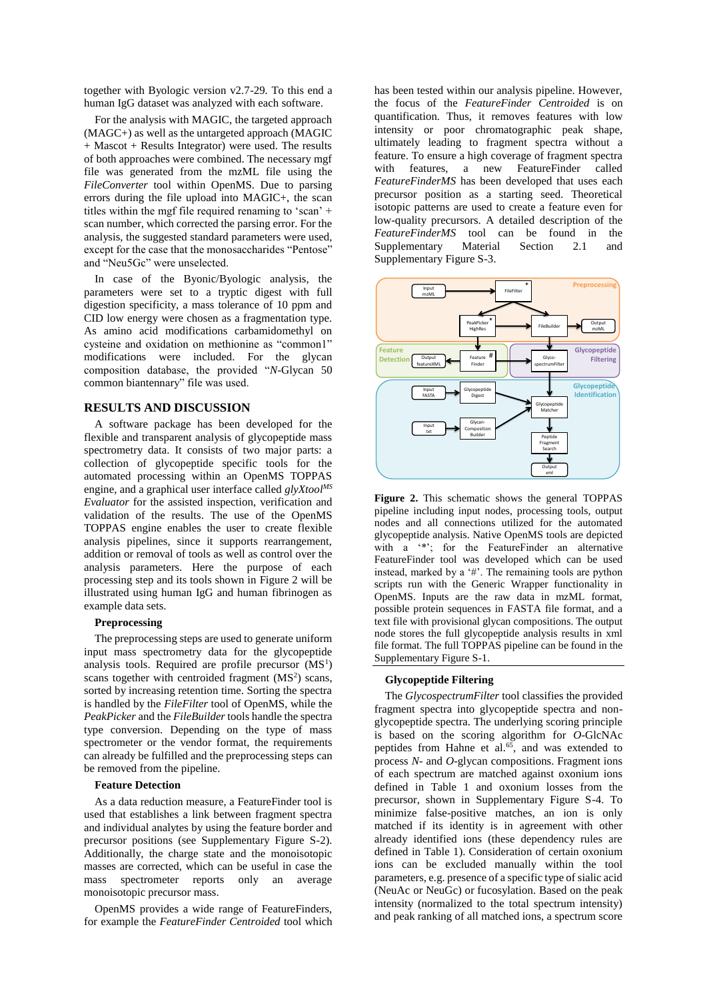together with Byologic version v2.7-29. To this end a human IgG dataset was analyzed with each software.

For the analysis with MAGIC, the targeted approach (MAGC+) as well as the untargeted approach (MAGIC + Mascot + Results Integrator) were used. The results of both approaches were combined. The necessary mgf file was generated from the mzML file using the *FileConverter* tool within OpenMS. Due to parsing errors during the file upload into MAGIC+, the scan titles within the mgf file required renaming to 'scan' + scan number, which corrected the parsing error. For the analysis, the suggested standard parameters were used, except for the case that the monosaccharides "Pentose" and "Neu5Gc" were unselected.

In case of the Byonic/Byologic analysis, the parameters were set to a tryptic digest with full digestion specificity, a mass tolerance of 10 ppm and CID low energy were chosen as a fragmentation type. As amino acid modifications carbamidomethyl on cysteine and oxidation on methionine as "common1" modifications were included. For the glycan composition database, the provided "*N*-Glycan 50 common biantennary" file was used.

# **RESULTS AND DISCUSSION**

A software package has been developed for the flexible and transparent analysis of glycopeptide mass spectrometry data. It consists of two major parts: a collection of glycopeptide specific tools for the automated processing within an OpenMS TOPPAS engine, and a graphical user interface called *glyXtoolMS Evaluator* for the assisted inspection, verification and validation of the results. The use of the OpenMS TOPPAS engine enables the user to create flexible analysis pipelines, since it supports rearrangement, addition or removal of tools as well as control over the analysis parameters. Here the purpose of each processing step and its tools shown in Figure 2 will be illustrated using human IgG and human fibrinogen as example data sets.

## **Preprocessing**

The preprocessing steps are used to generate uniform input mass spectrometry data for the glycopeptide analysis tools. Required are profile precursor  $(MS<sup>1</sup>)$ scans together with centroided fragment  $(MS<sup>2</sup>)$  scans, sorted by increasing retention time. Sorting the spectra is handled by the *FileFilter* tool of OpenMS, while the *PeakPicker* and the *FileBuilder* tools handle the spectra type conversion. Depending on the type of mass spectrometer or the vendor format, the requirements can already be fulfilled and the preprocessing steps can be removed from the pipeline.

#### **Feature Detection**

As a data reduction measure, a FeatureFinder tool is used that establishes a link between fragment spectra and individual analytes by using the feature border and precursor positions (see Supplementary Figure S-2). Additionally, the charge state and the monoisotopic masses are corrected, which can be useful in case the mass spectrometer reports only an average monoisotopic precursor mass.

OpenMS provides a wide range of FeatureFinders, for example the *FeatureFinder Centroided* tool which has been tested within our analysis pipeline. However, the focus of the *FeatureFinder Centroided* is on quantification. Thus, it removes features with low intensity or poor chromatographic peak shape, ultimately leading to fragment spectra without a feature. To ensure a high coverage of fragment spectra with features, a new FeatureFinder called *FeatureFinderMS* has been developed that uses each precursor position as a starting seed. Theoretical isotopic patterns are used to create a feature even for low-quality precursors. A detailed description of the *FeatureFinderMS* tool can be found in the Supplementary Material Section 2.1 and Supplementary Figure S-3.



**Figure 2.** This schematic shows the general TOPPAS pipeline including input nodes, processing tools, output nodes and all connections utilized for the automated glycopeptide analysis. Native OpenMS tools are depicted with a '\*'; for the FeatureFinder an alternative FeatureFinder tool was developed which can be used instead, marked by a '#'. The remaining tools are python scripts run with the Generic Wrapper functionality in OpenMS. Inputs are the raw data in mzML format, possible protein sequences in FASTA file format, and a text file with provisional glycan compositions. The output node stores the full glycopeptide analysis results in xml file format. The full TOPPAS pipeline can be found in the Supplementary Figure S-1.

#### **Glycopeptide Filtering**

The *GlycospectrumFilter* tool classifies the provided fragment spectra into glycopeptide spectra and nonglycopeptide spectra. The underlying scoring principle is based on the scoring algorithm for *O*-GlcNAc peptides from Hahne et al. $65$ , and was extended to process *N*- and *O*-glycan compositions. Fragment ions of each spectrum are matched against oxonium ions defined in Table 1 and oxonium losses from the precursor, shown in Supplementary Figure S-4. To minimize false-positive matches, an ion is only matched if its identity is in agreement with other already identified ions (these dependency rules are defined in Table 1). Consideration of certain oxonium ions can be excluded manually within the tool parameters, e.g. presence of a specific type of sialic acid (NeuAc or NeuGc) or fucosylation. Based on the peak intensity (normalized to the total spectrum intensity) and peak ranking of all matched ions, a spectrum score For the control of the control of the control of the control of the control of the control of  $\frac{m_{\text{max}}}{m_{\text{max}}}$  and  $\frac{m_{\text{max}}}{m_{\text{max}}}$  and  $\frac{m_{\text{max}}}{m_{\text{max}}}$  and  $\frac{m_{\text{max}}}{m_{\text{max}}}$  and  $\frac{m_{\text{max}}}{m_{\text{max}}}$  and  $\$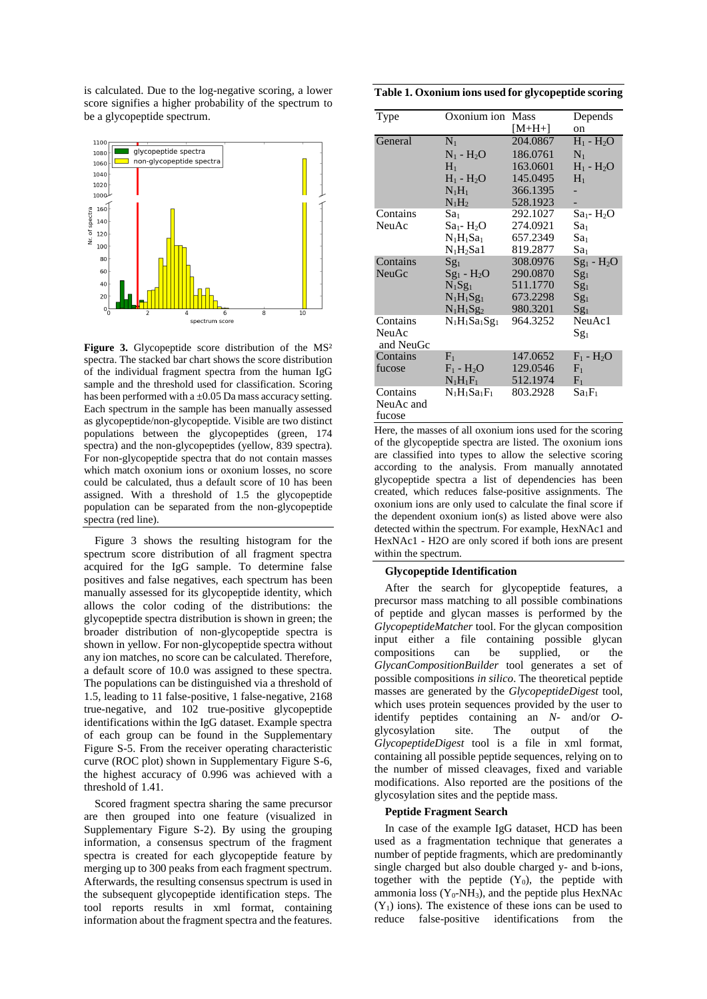is calculated. Due to the log-negative scoring, a lower score signifies a higher probability of the spectrum to be a glycopeptide spectrum.



**Figure 3.** Glycopeptide score distribution of the MS² spectra. The stacked bar chart shows the score distribution of the individual fragment spectra from the human IgG sample and the threshold used for classification. Scoring has been performed with a  $\pm 0.05$  Da mass accuracy setting. Each spectrum in the sample has been manually assessed as glycopeptide/non-glycopeptide. Visible are two distinct populations between the glycopeptides (green, 174 spectra) and the non-glycopeptides (yellow, 839 spectra). For non-glycopeptide spectra that do not contain masses which match oxonium ions or oxonium losses, no score could be calculated, thus a default score of 10 has been assigned. With a threshold of 1.5 the glycopeptide population can be separated from the non-glycopeptide spectra (red line).

Figure 3 shows the resulting histogram for the spectrum score distribution of all fragment spectra acquired for the IgG sample. To determine false positives and false negatives, each spectrum has been manually assessed for its glycopeptide identity, which allows the color coding of the distributions: the glycopeptide spectra distribution is shown in green; the broader distribution of non-glycopeptide spectra is shown in yellow. For non-glycopeptide spectra without any ion matches, no score can be calculated. Therefore, a default score of 10.0 was assigned to these spectra. The populations can be distinguished via a threshold of 1.5, leading to 11 false-positive, 1 false-negative, 2168 true-negative, and 102 true-positive glycopeptide identifications within the IgG dataset. Example spectra of each group can be found in the Supplementary Figure S-5. From the receiver operating characteristic curve (ROC plot) shown in Supplementary Figure S-6, the highest accuracy of 0.996 was achieved with a threshold of 1.41.

Scored fragment spectra sharing the same precursor are then grouped into one feature (visualized in Supplementary Figure S-2). By using the grouping information, a consensus spectrum of the fragment spectra is created for each glycopeptide feature by merging up to 300 peaks from each fragment spectrum. Afterwards, the resulting consensus spectrum is used in the subsequent glycopeptide identification steps. The tool reports results in xml format, containing information about the fragment spectra and the features.

**Table 1. Oxonium ions used for glycopeptide scoring**

| Type               | Oxonium ion Mass |          | Depends         |
|--------------------|------------------|----------|-----------------|
|                    |                  | $[M+H+]$ | on              |
| General            | $N_1$            | 204.0867 | $H_1 - H_2O$    |
|                    | $N_1 - H_2O$     | 186.0761 | $N_1$           |
|                    | $H_1$            | 163.0601 | $H_1 - H_2O$    |
|                    | $H_1 - H_2O$     | 145.0495 | $H_1$           |
|                    | $N_1H_1$         | 366.1395 |                 |
|                    | $N_1H_2$         | 528.1923 |                 |
| Contains           | Sa1              | 292.1027 | $Sa_1$ - $H_2O$ |
| NeuAc              | $Sa_1 - H_2O$    | 274.0921 | Sa <sub>1</sub> |
|                    | $N_1H_1Sa_1$     | 657.2349 | Sa <sub>1</sub> |
|                    | $N_1H_2Sa1$      | 819.2877 | Sa <sub>1</sub> |
| Contains           | $Sg_1$           | 308.0976 | $Sg_1 - H_2O$   |
| NeuGc              | $Sg_1 - H_2O$    | 290.0870 | $Sg_1$          |
|                    | $N_1Sg_1$        | 511.1770 | $Sg_1$          |
|                    | $N_1H_1Sg_1$     | 673.2298 | $Sg_1$          |
|                    | $N_1H_1Sg_2$     | 980.3201 | $Sg_1$          |
| Contains           | $N_1H_1Sa_1Sg_1$ | 964.3252 | NeuAc1          |
| NeuAc<br>and NeuGc |                  |          | $Sg_1$          |
| Contains           | $F_1$            | 147.0652 | $F_1 - H_2O$    |
| fucose             | $F_1 - H_2O$     | 129.0546 | $F_1$           |
|                    | $N_1H_1F_1$      | 512.1974 | $F_1$           |
| Contains           | $N_1H_1Sa_1F_1$  | 803.2928 | $Sa_1F_1$       |
| NeuAc and          |                  |          |                 |
| fucose             |                  |          |                 |

Here, the masses of all oxonium ions used for the scoring of the glycopeptide spectra are listed. The oxonium ions are classified into types to allow the selective scoring according to the analysis. From manually annotated glycopeptide spectra a list of dependencies has been created, which reduces false-positive assignments. The oxonium ions are only used to calculate the final score if the dependent oxonium ion(s) as listed above were also detected within the spectrum. For example, HexNAc1 and HexNAc1 - H2O are only scored if both ions are present within the spectrum.

#### **Glycopeptide Identification**

After the search for glycopeptide features, a precursor mass matching to all possible combinations of peptide and glycan masses is performed by the *GlycopeptideMatcher* tool. For the glycan composition input either a file containing possible glycan compositions can be supplied, or the *GlycanCompositionBuilder* tool generates a set of possible compositions *in silico*. The theoretical peptide masses are generated by the *GlycopeptideDigest* tool, which uses protein sequences provided by the user to identify peptides containing an *N*- and/or *O*glycosylation site. The output of the *GlycopeptideDigest* tool is a file in xml format, containing all possible peptide sequences, relying on to the number of missed cleavages, fixed and variable modifications. Also reported are the positions of the glycosylation sites and the peptide mass.

#### **Peptide Fragment Search**

In case of the example IgG dataset, HCD has been used as a fragmentation technique that generates a number of peptide fragments, which are predominantly single charged but also double charged y- and b-ions, together with the peptide  $(Y_0)$ , the peptide with ammonia loss  $(Y_0-NH_3)$ , and the peptide plus HexNAc  $(Y_1)$  ions). The existence of these ions can be used to reduce false-positive identifications from the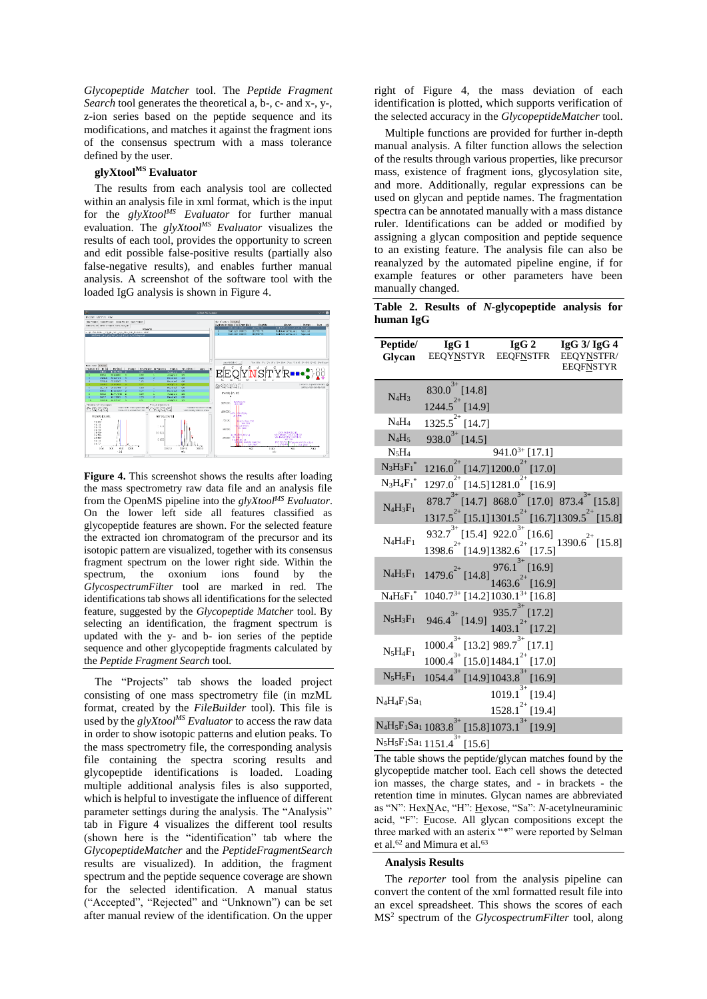*Glycopeptide Matcher* tool. The *Peptide Fragment Search* tool generates the theoretical a, b-, c- and x-, y-, z-ion series based on the peptide sequence and its modifications, and matches it against the fragment ions of the consensus spectrum with a mass tolerance defined by the user.

# **glyXtoolMS Evaluator**

The results from each analysis tool are collected within an analysis file in xml format, which is the input for the *glyXtoolMS Evaluator* for further manual evaluation. The *glyXtoolMS Evaluator* visualizes the results of each tool, provides the opportunity to screen and edit possible false-positive results (partially also false-negative results), and enables further manual analysis. A screenshot of the software tool with the loaded IgG analysis is shown in Figure 4.



**Figure 4.** This screenshot shows the results after loading the mass spectrometry raw data file and an analysis file from the OpenMS pipeline into the *glyXtoolMS Evaluator*. On the lower left side all features classified as glycopeptide features are shown. For the selected feature the extracted ion chromatogram of the precursor and its isotopic pattern are visualized, together with its consensus fragment spectrum on the lower right side. Within the spectrum, the oxonium ions found by the *GlycospectrumFilter* tool are marked in red. The identifications tab shows all identifications for the selected feature, suggested by the *Glycopeptide Matcher* tool. By selecting an identification, the fragment spectrum is updated with the y- and b- ion series of the peptide sequence and other glycopeptide fragments calculated by the *Peptide Fragment Search* tool.

The "Projects" tab shows the loaded project consisting of one mass spectrometry file (in mzML format, created by the *FileBuilder* tool). This file is used by the *glyXtoolMS Evaluator* to access the raw data in order to show isotopic patterns and elution peaks. To the mass spectrometry file, the corresponding analysis file containing the spectra scoring results and glycopeptide identifications is loaded. Loading multiple additional analysis files is also supported, which is helpful to investigate the influence of different parameter settings during the analysis. The "Analysis" tab in Figure 4 visualizes the different tool results (shown here is the "identification" tab where the *GlycopeptideMatcher* and the *PeptideFragmentSearch* results are visualized). In addition, the fragment spectrum and the peptide sequence coverage are shown for the selected identification. A manual status ("Accepted", "Rejected" and "Unknown") can be set after manual review of the identification. On the upper

right of Figure 4, the mass deviation of each identification is plotted, which supports verification of the selected accuracy in the *GlycopeptideMatcher* tool.

Multiple functions are provided for further in-depth manual analysis. A filter function allows the selection of the results through various properties, like precursor mass, existence of fragment ions, glycosylation site, and more. Additionally, regular expressions can be used on glycan and peptide names. The fragmentation spectra can be annotated manually with a mass distance ruler. Identifications can be added or modified by assigning a glycan composition and peptide sequence to an existing feature. The analysis file can also be reanalyzed by the automated pipeline engine, if for example features or other parameters have been manually changed.

**Table 2. Results of** *N***-glycopeptide analysis for human IgG**

| Peptide/<br>Glycan         | IgG1<br>EEQYNSTYR                                                                            | $\lg G 2$<br><b>EEQFNSTFR</b>                                                                                                 | $IgG$ 3/ $IgG$ 4<br>EEQYNSTFR/<br><b>EEQFNSTYR</b> |
|----------------------------|----------------------------------------------------------------------------------------------|-------------------------------------------------------------------------------------------------------------------------------|----------------------------------------------------|
| $N_4H_3$                   | $830.0^{3+}$ [14.8]<br>$1244.5^{2+}$ [14.9]                                                  |                                                                                                                               |                                                    |
| $N_4H_4$                   | $\overline{1325.5}^{2+}$ [14.7]                                                              |                                                                                                                               |                                                    |
| $N_4H_5$                   | $938.0^{3+}$ [14.5]                                                                          |                                                                                                                               |                                                    |
| $N_5H_4$                   |                                                                                              | $941.0^{3+}$ [17.1]                                                                                                           |                                                    |
| $N_3H_3F_1^*$              | $1216.0^{2+}$ [14.7] $1200.0^{2+}$ [17.0]                                                    |                                                                                                                               |                                                    |
| $N_3H_4F_1^*$              | $1297.0^{2+}$ [14.5] $1281.0^{2+}$ [16.9]                                                    |                                                                                                                               |                                                    |
| $N_4H_3F_1$                |                                                                                              | $878.7^{3+}$ [14.7] $868.0^{3+}$ [17.0] $873.4^{3+}$ [15.8]<br>$1317.5^{2+}$ [15.1] $1301.5^{2+}$ [16.7] $1309.5^{2+}$ [15.8] |                                                    |
| $N_4H_4F_1$                | $1398.6^{2+}$ [14.9] $1382.6^{2+}$ [17.5]                                                    |                                                                                                                               |                                                    |
| $N_4H_5F_1$                | $1479.6^{2+}$ [14.8]                                                                         | $976.1^{3+}$ [16.9]<br>$1463.6^{2+}$ [16.9]                                                                                   |                                                    |
| $N_4H_6{F_1}^*$            | 1040.7 <sup>3+</sup> [14.2] 1030.1 <sup>3+</sup> [16.8]                                      |                                                                                                                               |                                                    |
| $N_5H_3F_1$                | $946.4^{3+}$ [14.9]                                                                          | $935.7^{3+}$ [17.2]<br>$1403.1^{2+}$ [17.2]                                                                                   |                                                    |
| $N_5H_4F_1$                | $1000.4^{3+}$ [13.2] $989.7^{3+}$ [17.1]<br>$1000.4^{3+}$ [15.0] 1484.1 <sup>2+</sup> [17.0] |                                                                                                                               |                                                    |
| $N_5H_5F_1$                | $1054.4^{3+}$ [14.9] $1043.8^{3+}$ [16.9]                                                    |                                                                                                                               |                                                    |
| $N_4H_4F_1Sa_1$            |                                                                                              | $1019.1^{3+}$ [19.4]<br>$1528.1^{2+}$ [19.4]                                                                                  |                                                    |
|                            | $N_4H_5F_1Sa_1 1083.8^{3+} [15.8]1073.1^{3+} [19.9]$                                         |                                                                                                                               |                                                    |
| $N_5H_5F_1Sa_11151.4^{3+}$ | [15.6]                                                                                       |                                                                                                                               |                                                    |

The table shows the peptide/glycan matches found by the glycopeptide matcher tool. Each cell shows the detected ion masses, the charge states, and - in brackets - the retention time in minutes. Glycan names are abbreviated as "N": HexNAc, "H": Hexose, "Sa": *N*-acetylneuraminic acid, "F": Fucose. All glycan compositions except the three marked with an asterix "\*" were reported by Selman et al.<sup>62</sup> and Mimura et al.<sup>63</sup>

#### **Analysis Results**

The *reporter* tool from the analysis pipeline can convert the content of the xml formatted result file into an excel spreadsheet. This shows the scores of each MS<sup>2</sup> spectrum of the *GlycospectrumFilter* tool, along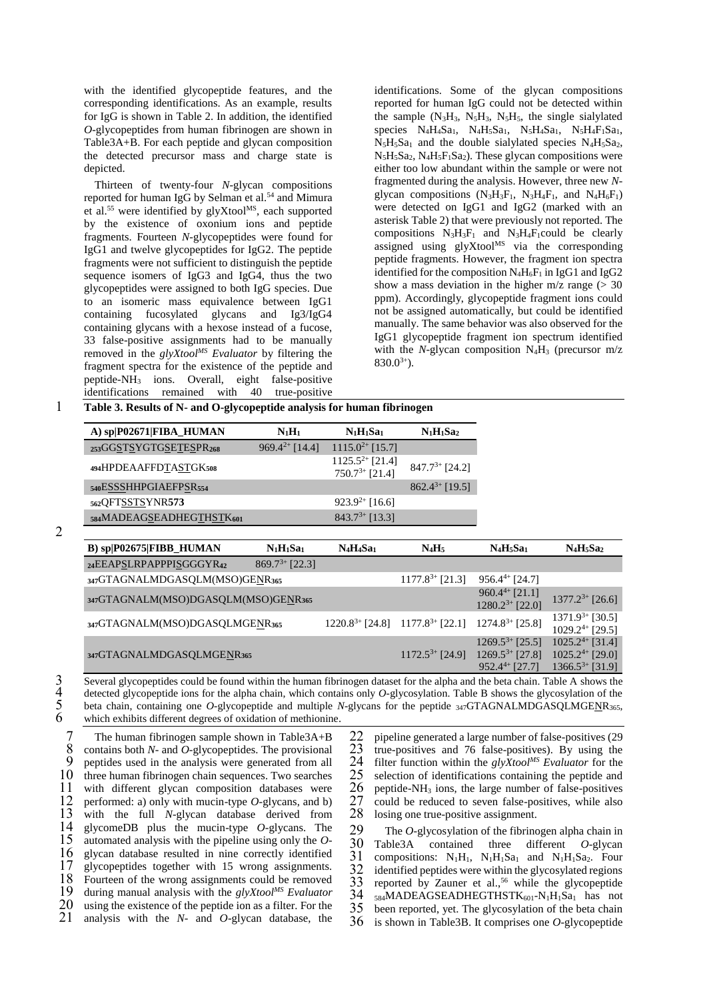with the identified glycopeptide features, and the corresponding identifications. As an example, results for IgG is shown in Table 2. In addition, the identified *O*-glycopeptides from human fibrinogen are shown in Table3A+B. For each peptide and glycan composition the detected precursor mass and charge state is depicted.

Thirteen of twenty-four *N*-glycan compositions reported for human IgG by Selman et al.<sup>54</sup> and Mimura et al.<sup>55</sup> were identified by glyXtool<sup>MS</sup>, each supported by the existence of oxonium ions and peptide fragments. Fourteen *N*-glycopeptides were found for IgG1 and twelve glycopeptides for IgG2. The peptide fragments were not sufficient to distinguish the peptide sequence isomers of IgG3 and IgG4, thus the two glycopeptides were assigned to both IgG species. Due to an isomeric mass equivalence between IgG1 containing fucosylated glycans and Ig3/IgG4 containing glycans with a hexose instead of a fucose, 33 false-positive assignments had to be manually removed in the *glyXtoolMS Evaluator* by filtering the fragment spectra for the existence of the peptide and peptide-NH<sup>3</sup> ions. Overall, eight false-positive identifications remained with 40 true-positive

identifications. Some of the glycan compositions reported for human IgG could not be detected within the sample  $(N_3H_3, N_5H_3, N_5H_5,$  the single sialylated species  $N_4H_4Sa_1$ ,  $N_4H_5Sa_1$ ,  $N_5H_4Sa_1$ ,  $N_5H_4F_1Sa_1$ ,  $N_5H_5Sa_1$  and the double sialylated species  $N_4H_5Sa_2$ ,  $N_5H_5Sa_2$ ,  $N_4H_5F_1Sa_2$ ). These glycan compositions were either too low abundant within the sample or were not fragmented during the analysis. However, three new *N*glycan compositions  $(N_3H_3F_1, N_3H_4F_1,$  and  $N_4H_6F_1$ ) were detected on IgG1 and IgG2 (marked with an asterisk Table 2) that were previously not reported. The compositions  $N_3H_3F_1$  and  $N_3H_4F_1$ could be clearly  $\frac{1}{2}$  assigned using glyXtool<sup>MS</sup> via the corresponding peptide fragments. However, the fragment ion spectra identified for the composition  $N_4H_6F_1$  in IgG1 and IgG2 show a mass deviation in the higher  $m/z$  range ( $> 30$ ) ppm). Accordingly, glycopeptide fragment ions could not be assigned automatically, but could be identified manually. The same behavior was also observed for the IgG1 glycopeptide fragment ion spectrum identified with the *N*-glycan composition  $N_4H_3$  (precursor  $m/z$  $830.0^{3+}$ ).

1 **Table 3. Results of N- and O-glycopeptide analysis for human fibrinogen**

| A) sp P02671 FIBA_HUMAN   | $N_1H_1$            | $N_1H_1Sa_1$                                | $N_1H_1Sa_2$        |
|---------------------------|---------------------|---------------------------------------------|---------------------|
| 253GGSTSYGTGSETESPR268    | $969.4^{2+}$ [14.4] | $1115.0^{2+}$ [15.7]                        |                     |
| 494HPDEAAFFDTASTGK508     |                     | $1125.5^{2+}$ [21.4]<br>$750.7^{3+}$ [21.4] | $847.7^{3+}$ [24.2] |
| 540ESSSHHPGIAEFPSR554     |                     |                                             | $862.4^{3+}$ [19.5] |
| 562QFT <u>SSTS</u> YNR573 |                     | $923.9^{2+}$ [16.6]                         |                     |
| 584MADEAGSEADHEGTHSTK601  |                     | $843.7^{3+}$ [13.3]                         |                     |

| B) sp P02675 FIBB_HUMAN             | $N_1H_1Sa_1$        | $N_4H_4Sa_1$         | $N_4H_5$             | $N_4H_5Sa_1$                                                                             | $N_4H_5Sa_2$                                                         |
|-------------------------------------|---------------------|----------------------|----------------------|------------------------------------------------------------------------------------------|----------------------------------------------------------------------|
| 24EEAPSLRPAPPPISGGGYR42             | $869.7^{3+}$ [22.3] |                      |                      |                                                                                          |                                                                      |
| 347GTAGNALMDGASQLM(MSO)GENR365      |                     |                      | $1177.8^{3+}$ [21.3] | $956.4^{4+}$ [24.7]                                                                      |                                                                      |
| 347GTAGNALM(MSO)DGASQLM(MSO)GENR365 |                     |                      |                      | $960.4^{4+}$ [21.1]<br>$1280.2^{3+}$ [22.0]                                              | $1377.2^{3+}$ [26.6]                                                 |
| 347GTAGNALM(MSO)DGASQLMGENR365      |                     | $1220.8^{3+}$ [24.8] | $1177.8^{3+}$ [22.1] | $1274.8^{3+}$ [25.8]                                                                     | $1371.9^{3+}$ [30.5]<br>$1029.2^{4+}$ [29.5]                         |
| 347GTAGNALMDGASQLMGENR365           |                     |                      |                      | $1269.5^{3+}$ [25.5]<br>$1172.5^{3+}$ [24.9] $1269.5^{3+}$ [27.8]<br>$952.4^{4+}$ [27.7] | $1025.2^{4+}$ [31.4]<br>$1025.2^{4+}$ [29.0]<br>$1366.5^{3+}$ [31.9] |

3 Several glycopeptides could be found within the human fibrinogen dataset for the alpha and the beta chain. Table A shows the detected glycopeptide ions for the alpha chain, which contains only *O*-glycosylation. Table B 4 detected glycopeptide ions for the alpha chain, which contains only *O*-glycosylation. Table B shows the glycosylation of the 5 beta chain, containing one *O*-glycopeptide and multiple *N*-glycans for the peptide 347GTAGNALMDGASQLMGENR365,<br>6 which exhibits different degrees of oxidation of methionine which exhibits different degrees of oxidation of methionine.

7 The human fibrinogen sample shown in Table3A+B<br>8 contains both N- and O-glycopeptides. The provisional 8 contains both *N*- and *O*-glycopeptides. The provisional 9 peptides used in the analysis were generated from all 10 three human fibrinogen chain sequences. Two searches three human fibrinogen chain sequences. Two searches 11 with different glycan composition databases were  $12$  performed: a) only with mucin-type *O*-glycans, and b) 12 performed: a) only with mucin-type *O*-glycans, and b) 13 with the full *N*-glycan database derived from 14 glycomeDB plus the mucin-type *O*-glycans. The 14 glycomeDB plus the mucin-type  $O$ -glycans. The 15 automated analysis with the pipeline using only the  $O$ automated analysis with the pipeline using only the  $O$ -16 glycan database resulted in nine correctly identified<br>17 glycopentides together with 15 wrong assignments. 17 glycopeptides together with 15 wrong assignments.<br>18 Fourteen of the wrong assignments could be removed 18 Fourteen of the wrong assignments could be removed<br>19 during manual analysis with the *elvXtool<sup>MS</sup>* Evaluator 19 during manual analysis with the *glyXtool<sup>MS</sup>* Evaluator 20 using the existence of the peptide ion as a filter. For the 20 using the existence of the peptide ion as a filter. For the 21 analysis with the  $N$ - and O-glycan database, the analysis with the  $N$ - and  $O$ -glycan database, the

22 pipeline generated a large number of false-positives (29  $23$  true-positives and 76 false-positives). By using the 23 true-positives and 76 false-positives). By using the 24 filter function within the  $e/vXtoe^{Ms}$  Evaluator for the Filter function within the  $glyXtool^{MS}$  Evaluator for the selection of identifications containing the peptide and 25 selection of identifications containing the peptide and  $26$  peptide-NH<sub>3</sub> ions, the large number of false-positives  $26$  peptide-NH<sub>3</sub> ions, the large number of false-positives  $27$  could be reduced to seven false-positives, while also 27 could be reduced to seven false-positives, while also 28 losing one true-positive assignment. losing one true-positive assignment.

29 The *O*-glycosylation of the fibrinogen alpha chain in<br>30 Table<sup>3</sup>A contained three different *O*-glycan 30 Table3A contained three different *O*-glycan  $31$  compositions:  $N_1H_1$ ,  $N_1H_1Sa_1$  and  $N_1H_1Sa_2$ . Four  $32$  identified peotides were within the glycosylated regions 32 identified peptides were within the glycosylated regions 33 reported by Zauner et al.<sup>56</sup> while the glycopeptide 33 reported by Zauner et al.,<sup>56</sup> while the glycopeptide<br>34 sx4MADEAGSEADHEGTHSTK601-NtH580, has not 34  $_{584}$ MADEAGSEADHEGTHST $K_{601}$ -N<sub>1</sub>H<sub>1</sub>Sa<sub>1</sub> has not 35 been reported, vet. The glycosylation of the beta chain been reported, yet. The glycosylation of the beta chain 36 is shown in Table3B. It comprises one *O*-glycopeptide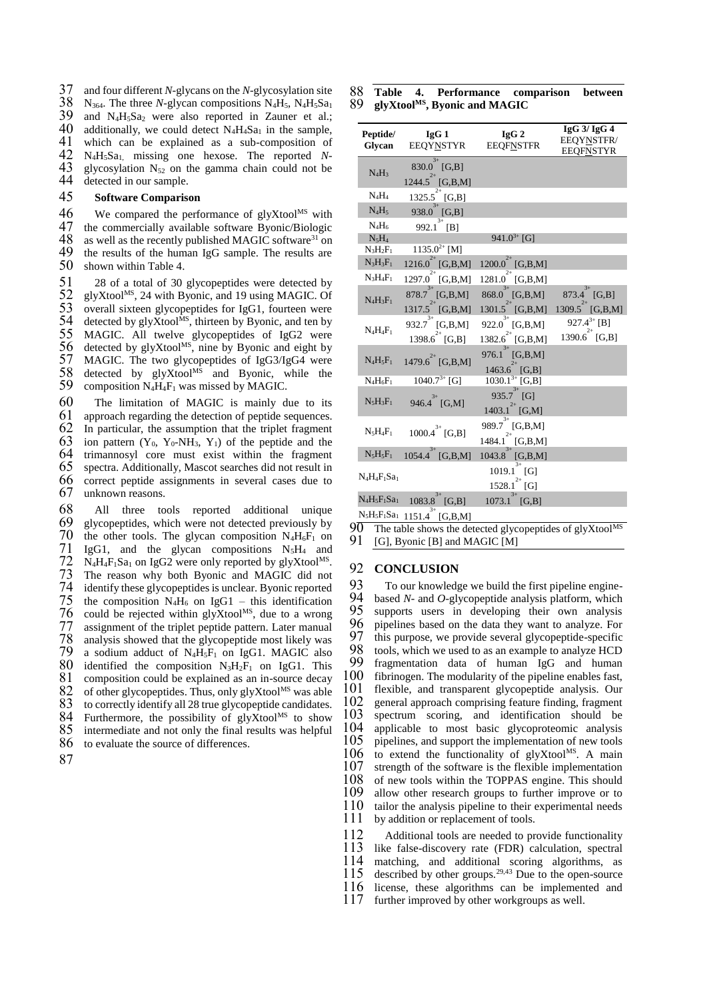37 and four different *N*-glycans on the *N*-glycosylation site<br>38 N<sub>364</sub>, The three *N*-glycan compositions N<sub>4</sub>H<sub>5</sub>, N<sub>4</sub>H<sub>5</sub>S<sub>4</sub>  $38$  N<sub>364</sub>. The three *N*-glycan compositions N<sub>4</sub>H<sub>5</sub>, N<sub>4</sub>H<sub>5</sub>Sa<sub>1</sub> 39 and N<sub>4</sub>H<sub>5</sub>S<sub>a<sub>2</sub> were also reported in Zauner et al:</sub> 39 and  $N_4H_5Sa_2$  were also reported in Zauner et al.;<br>40 additionally, we could detect  $N_4H_4Sa_1$  in the sample. 40 additionally, we could detect  $N_4H_4Sa_1$  in the sample,<br>41 which can be explained as a sub-composition of 41 which can be explained as a sub-composition of  $42$  N.H.Sa, missing one bexose. The reported N- $42$  N<sub>4</sub>H<sub>5</sub>Sa<sub>1</sub>, missing one hexose. The reported N-<br> $43$  glycosylation N<sub>52</sub> on the gamma chain could not be 43 glycosylation  $N_{52}$  on the gamma chain could not be 44 detected in our sample detected in our sample.

## 45 **Software Comparison**

46 We compared the performance of glyXtool<sup>MS</sup> with 47 the commercially available software Byonic/Biologic 47 the commercially available software Byonic/Biologic  $48$  as well as the recently published MAGIC software<sup>31</sup> on 48 as well as the recently published MAGIC software<sup>31</sup> on 49 the results of the human IgG sample. The results are 49 the results of the human IgG sample. The results are 50 shown within Table 4. shown within Table 4.

51 28 of a total of 30 glycopeptides were detected by<br>52 glyXtool<sup>MS</sup>, 24 with Byonic, and 19 using MAGIC. Of  $52$  glyXtool<sup>MS</sup>, 24 with Byonic, and 19 using MAGIC. Of  $53$  overall sixteen glyconeptides for LeG1, fourteen were 53 overall sixteen glycopeptides for IgG1, fourteen were<br>54 detected by glyXtool<sup>MS</sup>, thirteen by Byonic, and ten by 54 detected by glyXtool<sup>Ms</sup>, thirteen by Byonic, and ten by 55 MAGIC. All twelve glyconentially of  $19G2$  were 55 MAGIC. All twelve glycopeptides of IgG2 were<br>56 detected by glyXtool<sup>MS</sup>, nine by Byonic and eight by 56 detected by glyXtool<sup>MS</sup>, nine by Byonic and eight by 57 MAGIC. The two glycopeptides of  $IgG3/IgG4$  were 57 MAGIC. The two glycopeptides of IgG3/IgG4 were  $58$  detected by glyXtool<sup>MS</sup> and Byonic, while the 59 composition  $N_4H_4F_1$  was missed by MAGIC.

60 The limitation of MAGIC is mainly due to its 61 approach regarding the detection of peptide sequences. 62 In particular, the assumption that the triplet fragment 63 ion pattern  $(Y_0, Y_0 \text{-} NH_3, Y_1)$  of the peptide and the 63 ion pattern  $(Y_0, Y_0-NH_3, Y_1)$  of the peptide and the 64 trimannosyl core must exist within the fragment 64 trimannosyl core must exist within the fragment  $65$  spectra. Additionally, Mascot searches did not result in spectra. Additionally, Mascot searches did not result in 66 correct peptide assignments in several cases due to 67 unknown reasons.

68 All three tools reported additional unique 69 glycopeptides, which were not detected previously by 70 the other tools. The glycan composition  $N_4H_6F_1$  on 71 IgG1, and the glycan compositions  $N_5H_4$  and  $72$  N<sub>4</sub>H<sub>4</sub>F<sub>1</sub>Sa<sub>1</sub> on IgG2 were only reported by glyXtool<sup>MS</sup>.<br> $73$  The reason why both Byonic and MAGIC did not 73 The reason why both Byonic and MAGIC did not 74 identify these glycopeptides is unclear. Byonic reported  $75$  the composition N<sub>4H<sub>6</sub></sub> on IgG1 – this identification 75 the composition N<sub>4</sub>H<sub>6</sub> on IgG1 – this identification 76 could be rejected within glyXtool<sup>MS</sup>, due to a wrong 76 could be rejected within glyXtool<sup>MS</sup>, due to a wrong<br>77 assignment of the triplet peptide pattern. Later manual 77 assignment of the triplet peptide pattern. Later manual analysis showed that the glycopeptide most likely was 79 a sodium adduct of  $N_4H_5F_1$  on IgG1. MAGIC also analysis showed that the glycopeptide most likely was a sodium adduct of  $N_4H_5F_1$  on IgG1. MAGIC also 80 identified the composition  $N_3H_2F_1$  on IgG1. This 81 composition could be explained as an in-source decay 82 of other glycopeptides. Thus, only gly  $X$ tool<sup>MS</sup> was able 82 of other glycopeptides. Thus, only glyXtool<sup>MS</sup> was able 83 to correctly identify all 28 true glycopeptide candidates. to correctly identify all 28 true glycopeptide candidates. 84 Furthermore, the possibility of  $glyX$ tool<sup>MS</sup> to show 85 intermediate and not only the final results was helpful 86 to evaluate the source of differences.

87

|  | 88 Table 4. Performance comparison between   |  |
|--|----------------------------------------------|--|
|  | 89 glyXtool <sup>MS</sup> , Byonic and MAGIC |  |

| Peptide/<br>Glycan | IgG1<br>EEQYNSTYR                                | IgG2<br><b>EEQFNSTFR</b>                                 | $IgG$ 3/ $IgG$ 4<br>EEQYNSTFR/<br><b>EEQFNSTYR</b>               |
|--------------------|--------------------------------------------------|----------------------------------------------------------|------------------------------------------------------------------|
| $N_4H_3$           | $3+$<br>830.0 [G,B]<br>$1244.5^{2+}$ [G,B,M]     |                                                          |                                                                  |
| $N_4H_4$           | $^{2+}$<br>1325.5 [G,B]                          |                                                          |                                                                  |
| $N_4H_5$           | $3+$<br>938.0 [G,B]                              |                                                          |                                                                  |
| $N_4H_6$           | $3+$<br>992.1 [B]                                |                                                          |                                                                  |
| $N_5H_4$           |                                                  | $941.0^{3+}$ [G]                                         |                                                                  |
| $N_3H_2F_1$        | $1135.0^{2+}$ [M]                                |                                                          |                                                                  |
| $N_3H_3F_1$        | $2+$<br>1216.0 [G,B,M]                           | 1200.0<br>[G,B,M]                                        |                                                                  |
| $N_3H_4F_1$        | $^{2+}$<br>1297.0<br>[G,B,M]                     | $^{2+}$<br>1281.0<br>[G,B,M]                             |                                                                  |
| $N_4H_3F_1$        | $878.7^{3+}$ [G,B,M]<br>$2+$<br>$1317.5$ [G,B,M] | $868.0^{3+}$ [G,B,M]<br>$2+$<br>$1301.5$ [G,B,M]         | $873.4^{3+}$ [G,B]                                               |
| $N_4H_4F_1$        | $3+$<br>932.7 [G,B,M]<br>$^{2+}$<br>1398.6 [G,B] | 3+<br>922.0 [G,B,M]<br>$2+$<br>1382.6<br>[G,B,M]         | 1309.5 [G,B,M]<br>$927.4^{3+}$ [B]<br>1390.6 <sup>2+</sup> [G,B] |
| $N_4H_5F_1$        | 1479.6 <sup>2+</sup> [G,B,M]                     | $3+$<br>976.1 [G,B,M]<br>1463.6 [G,B]                    |                                                                  |
| $N_4H_6F_1$        | $1040.7^{3+}$ [G]                                | $1030.1^{3+}$ [G,B]                                      |                                                                  |
| $N_5H_3F_1$        | 946.4 <sup>3+</sup> [G,M]                        | 935.7 <sup>3+</sup> [G]<br>1403.1 [G,M]                  |                                                                  |
| $N_5H_4F_1$        | $1000.4^{3+}$ [G,B]                              | $_{3+}$<br>989.7 [G,B,M]<br>1484.1<br>[G,B,M]            |                                                                  |
| $N_5H_5F_1$        | 1054.4 [G,B,M]                                   | $_{3+}$<br>1043.8 [G,B,M]                                |                                                                  |
| $N_4H_4F_1Sa_1$    |                                                  | $\overline{1019.1}^{3+}$ [G]<br>$^{2+}$<br>1528.1<br>[G] |                                                                  |
| $N_4H_5F_1Sa_1$    | $3+$<br>1083.8<br>[G,B]                          | $3+$<br>1073.1<br>[G,B]                                  |                                                                  |
|                    | $_{3+}$<br>$N_5H_5F_1Sa_1$ 1151.4 [G,B,M]        |                                                          |                                                                  |

 $\overline{90}$  The table shows the detected glycopeptides of glyXtool<sup>MS</sup><br> $\overline{91}$  [G]. Byonic [B] and MAGIC [M] [G], Byonic  $[B]$  and MAGIC  $[M]$ 

# 92 **CONCLUSION**

93 To our knowledge we build the first pipeline engine-<br>94 based N- and O-glyconentide analysis platform which 94 based *N*- and *O*-glycopeptide analysis platform, which<br>95 supports users in developing their own analysis 95 supports users in developing their own analysis 96 pinelines based on the data they want to analyze. For 96 pipelines based on the data they want to analyze. For 97 this purpose we provide several glyconential specific 97 this purpose, we provide several glycopeptide-specific 98 tools, which we used to as an example to analyze HCD 98 tools, which we used to as an example to analyze HCD<br>99 fragmentation data of human JgG and human 99 fragmentation data of human IgG and human  $100$  fibrinogen. The modularity of the pipeline enables fast. fibrinogen. The modularity of the pipeline enables fast, 101 flexible, and transparent glycopeptide analysis. Our 102 general approach comprising feature finding, fragment 103 spectrum scoring, and identification should be 103 spectrum scoring, and identification should be 104 applicable to most basic glycoproteomic analysis 104 applicable to most basic glycoproteomic analysis 105 pinelines, and support the implementation of new tools 105 pipelines, and support the implementation of new tools  $106$  to extend the functionality of glyXtool<sup>MS</sup>. A main  $106$  to extend the functionality of glyXtool<sup>MS</sup>. A main  $107$  strength of the software is the flexible implementation  $107$  strength of the software is the flexible implementation  $108$  of new tools within the TOPPAS engine. This should 108 of new tools within the TOPPAS engine. This should 109 allow other research groups to further improve or to allow other research groups to further improve or to 110 tailor the analysis pipeline to their experimental needs 111 by addition or replacement of tools.

112 Additional tools are needed to provide functionality<br>113 like false-discovery rate (FDR) calculation, spectral 113 like false-discovery rate (FDR) calculation, spectral 114 matching, and additional scoring algorithms, as matching, and additional scoring algorithms, as 115 described by other groups.<sup>29,43</sup> Due to the open-source 116 license, these algorithms can be implemented and license, these algorithms can be implemented and 117 further improved by other workgroups as well.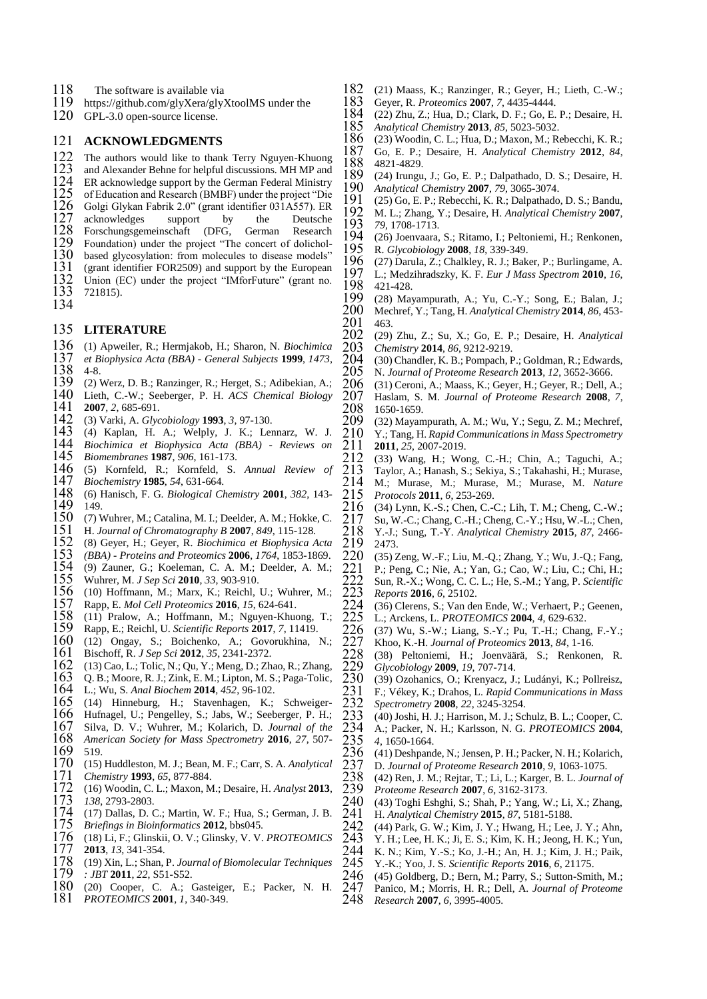- 118 The software is available via<br>119 https://github.com/glvXera/glv
- https://github.com/glyXera/glyXtoolMS under the
- GPL-3.0 open-source license.

# **ACKNOWLEDGMENTS**

- 122 The authors would like to thank Terry Nguyen-Khuong<br>123 and Alexander Behne for helpful discussions. MH MP and
- 123 and Alexander Behne for helpful discussions. MH MP and 124 ER acknowledge support by the German Federal Ministry
- 124 ER acknowledge support by the German Federal Ministry<br>125 of Education and Research (BMBF) under the project "Die<br>126 Golgi Glykan Fabrik 2.0" (grant identifier 031A557). ER
- of Education and Research (BMBF) under the project "Die
- Golgi Glykan Fabrik 2.0" (grant identifier 031A557). ER
- 127 acknowledges support by the Deutsche<br>128 Forschungsgemeinschaft (DFG, German Research
- 128 Forschungsgemeinschaft (DFG, German Research)<br>129 Foundation) under the project "The concert of dolichol-
- 129 Foundation) under the project "The concert of dolichol-<br>130 based glycosylation: from molecules to disease models"
- 130 based glycosylation: from molecules to disease models"<br>131 (grant identifier FOR2509) and support by the European
- 131 (grant identifier FOR2509) and support by the European 132 Union (EC) under the project "IMforFuture" (grant no. 132 Union (EC) under the project "IMforFuture" (grant no.<br>133 721815).
- 721815).
- 

## **LITERATURE**

- (1) Apweiler, R.; Hermjakob, H.; Sharon, N. *Biochimica et Biophysica Acta (BBA) - General Subjects* **1999**, *1473*,
- $\begin{array}{cc} 138 & 4-8. \\ 139 & (2) \end{array}$
- 139 (2) Werz, D. B.; Ranzinger, R.; Herget, S.; Adibekian, A.; 140 Lieth, C.-W.; Seeberger, P. H. ACS Chemical Biology
- Lieth, C.-W.; Seeberger, P. H. *ACS Chemical Biology* **2007**, *2*, 685-691.
- (3) Varki, A. *Glycobiology* **1993**, *3*, 97-130.
- 143 (4) Kaplan, H. A.; Welply, J. K.; Lennarz, W. J. Biochimica et Biophysica Acta (BBA) Reviews on
- *Biochimica et Biophysica Acta (BBA) - Reviews on*
- *Biomembranes* **1987**, *906*, 161-173. (5) Kornfeld, R.; Kornfeld, S. *Annual Review of*
- *Biochemistry* **1985**, *54*, 631-664. (6) Hanisch, F. G. *Biological Chemistry* **2001**, *382*, 143-  $\begin{array}{cc} 149 & 149. \\ 150 & (7) \end{array}$
- 150 (7) Wuhrer, M.; Catalina, M. I.; Deelder, A. M.; Hokke, C. 151 H. Journal of Chromatography B 2007, 849, 115-128.
- H. *Journal of Chromatography B* **2007**, *849*, 115-128.
- (8) Geyer, H.; Geyer, R. *Biochimica et Biophysica Acta*
- *(BBA) - Proteins and Proteomics* **2006**, *1764*, 1853-1869.
- 154 (9) Zauner, G.; Koeleman, C. A. M.; Deelder, A. M.; Wuhrer, M. *J Sep Sci* 2010, 33, 903-910.
- Wuhrer, M. *J Sep Sci* **2010**, *33*, 903-910.
- 156 (10) Hoffmann, M.; Marx, K.; Reichl, U.; Wuhrer, M.; 157 Rapp, E. *Mol Cell Proteomics* **2016**, 15, 624-641.
- Rapp, E. *Mol Cell Proteomics* **2016**, *15*, 624-641.
- 158 (11) Pralow, A.; Hoffmann, M.; Nguyen-Khuong, T.; 159 Rapp, E.; Reichl, U. Scientific Reports 2017, 7, 11419.
- Rapp, E.; Reichl, U. *Scientific Reports* **2017**, *7*, 11419.
- 160 (12) Ongay, S.; Boichenko, A.; Govorukhina, N.; 161 Bischoff, R. *J Sep Sci* 2012, 35, 2341-2372. Bischoff, R. *J Sep Sci* **2012**, *35*, 2341-2372.
- 
- 162 (13) Cao, L.; Tolic, N.; Qu, Y.; Meng, D.; Zhao, R.; Zhang, 163 O. B.; Moore, R. J.; Zink, E. M.; Lipton, M. S.; Paga-Tolic,
- 163 Q. B.; Moore, R. J.; Zink, E. M.; Lipton, M. S.; Paga-Tolic, 164 L.: Wu, S. Anal Biochem 2014, 452, 96-102.
- L.; Wu, S. *Anal Biochem* **2014**, *452*, 96-102.
- (14) Hinneburg, H.; Stavenhagen, K.; Schweiger-
- Hufnagel, U.; Pengelley, S.; Jabs, W.; Seeberger, P. H.;
- Silva, D. V.; Wuhrer, M.; Kolarich, D. *Journal of the American Society for Mass Spectrometry* **2016**, *27*, 507-
- $\frac{169}{170}$   $\frac{519}{(15)}$
- (15) Huddleston, M. J.; Bean, M. F.; Carr, S. A. *Analytical Chemistry* **1993**, *65*, 877-884.
- (16) Woodin, C. L.; Maxon, M.; Desaire, H. *Analyst* **2013**, *138*, 2793-2803.
- (17) Dallas, D. C.; Martin, W. F.; Hua, S.; German, J. B.  $175$  Briefings in Bioinformatics 2012, bbs045.
- *Briefings in Bioinformatics* **2012**, bbs045.
- (18) Li, F.; Glinskii, O. V.; Glinsky, V. V. *PROTEOMICS* **2013**, *13*, 341-354.
- (19) Xin, L.; Shan, P. *Journal of Biomolecular Techniques*
- *: JBT* **2011**, *22*, S51-S52. (20) Cooper, C. A.; Gasteiger, E.; Packer, N. H.
- *PROTEOMICS* **2001**, *1*, 340-349.
- 182 (21) Maass, K.; Ranzinger, R.; Geyer, H.; Lieth, C.-W.; 183 Gever, R. *Proteomics* 2007, 7, 4435-4444. Geyer, R. *Proteomics* **2007**, *7*, 4435-4444.
- 184 (22) Zhu, Z.; Hua, D.; Clark, D. F.; Go, E. P.; Desaire, H.<br>185 Analytical Chemistry 2013, 85, 5023-5032.
- *Analytical Chemistry* **2013**, *85*, 5023-5032.
- 186 (23) Woodin, C. L.; Hua, D.; Maxon, M.; Rebecchi, K. R.; 187 Go. E. P.: Desaire. H. Analytical Chemistry 2012. 84. Go, E. P.; Desaire, H. *Analytical Chemistry* **2012**, *84*,
- 188 4821-4829.<br>189 (24) Irungu 189 (24) Irungu, J.; Go, E. P.; Dalpathado, D. S.; Desaire, H.<br>190 Analytical Chemistry 2007, 79, 3065-3074.
- *Analytical Chemistry* **2007**, *79*, 3065-3074.
- 191 (25) Go, E. P.; Rebecchi, K. R.; Dalpathado, D. S.; Bandu,<br>192 M. L. Zhang, Y. Desaire, H. Anglytical Chemistry 2007 M. L.; Zhang, Y.; Desaire, H. *Analytical Chemistry* **2007**, *79*, 1708-1713.
- 194 (26) Joenvaara, S.; Ritamo, I.; Peltoniemi, H.; Renkonen, 195 R. Glycobiology 2008. 18. 339-349. R. *Glycobiology* **2008**, *18*, 339-349.
- 196 (27) Darula, Z.; Chalkley, R. J.; Baker, P.; Burlingame, A.<br>197 L.: Medzihradszky, K. F. *Eur I Mass Spectrom* 2010, 16
- L.; Medzihradszky, K. F. *Eur J Mass Spectrom* **2010**, *16*, 198 421-428.<br>199 *(*28) May
- 199 (28) Mayampurath, A.; Yu, C.-Y.; Song, E.; Balan, J.; Mechref, Y.: Tang, H. Analytical Chemistry 2014, 86, 453-Mechref, Y.; Tang, H. *Analytical Chemistry* **2014**, *86*, 453-
- 463.<br>202 (29) (29) Zhu, Z.; Su, X.; Go, E. P.; Desaire, H. *Analytical Chemistry* **2014**, *86*, 9212-9219.
- 204 (30) Chandler, K. B.; Pompach, P.; Goldman, R.; Edwards, 205 N. Journal of Proteome Research 2013, 12, 3652-3666.
- N. *Journal of Proteome Research* **2013**, *12*, 3652-3666. 206 (31) Ceroni, A.; Maass, K.; Geyer, H.; Geyer, R.; Dell, A.; 207 Haslam, S. M. Journal of Proteome Research 2008, 7.
- Haslam, S. M. *Journal of Proteome Research* **2008**, *7*, 208 1650-1659.<br>209 (32) Mayar
- 209 (32) Mayampurath, A. M.; Wu, Y.; Segu, Z. M.; Mechref, Y.: Tang. H. Rapid Communications in Mass Spectrometry Y.; Tang, H. *Rapid Communications in Mass Spectrometry*
- 211 **2011**, 25, 2007-2019.<br>
212 (33) Wang, H.; Wo<br>
213 Taylor, A.; Hanash, S. (33) Wang, H.; Wong, C.-H.; Chin, A.; Taguchi, A.; 213 Taylor, A.; Hanash, S.; Sekiya, S.; Takahashi, H.; Murase,<br>214 M.: Murase, M.: Murase, M.: Murase, M. *Nature Protocols* **2011**, *6*, 253-269.
- 214 M.; Murase, M.; Murase, M.; Murase, M. *Nature*<br>215 *Protocols* 2011, 6, 253-269.<br>216 (34) Lynn, K.-S.; Chen, C.-C.; Lih, T. M.; Cheng, C.-W.;<br>217 Su, W.-C.; Chang, C.-H.; Cheng, C.-Y.; Hsu, W.-L.; Chen,<br>218 Y.-J.; Sun (34) Lynn, K.-S.; Chen, C.-C.; Lih, T. M.; Cheng, C.-W.; Su, W.-C.; Chang, C.-H.; Cheng, C.-Y.; Hsu, W.-L.; Chen, Y.-J.; Sung, T.-Y. *Analytical Chemistry* **2015**, *87*, 2466-  $\frac{219}{220}$  2473.
- (35) Zeng, W.-F.; Liu, M.-Q.; Zhang, Y.; Wu, J.-Q.; Fang, 221 P.; Peng, C.; Nie, A.; Yan, G.; Cao, W.; Liu, C.; Chi, H.; 222 Sun, R.-X.; Wong, C. C. L.; He, S.-M.; Yang, P. Scientific Sun, R.-X.; Wong, C. C. L.; He, S.-M.; Yang, P. *Scientific Reports* **2016**, *6*, 25102.
- 224 (36) Clerens, S.; Van den Ende, W.; Verhaert, P.; Geenen,  $2.25$  L.: Arckens, L. *PROTEOMICS* 2004. 4, 629-632. L.; Arckens, L. *PROTEOMICS* **2004**, *4*, 629-632.
- 226 (37) Wu, S.-W.; Liang, S.-Y.; Pu, T.-H.; Chang, F.-Y.; 227 Khoo, K.-H. *Journal of Proteomics* 2013, 84, 1-16.
- Khoo, K.-H. *Journal of Proteomics* **2013**, *84*, 1-16. (38) Peltoniemi, H.; Joenväärä, S.; Renkonen, R. *Glycobiology* **2009**, *19*, 707-714.
- 230 (39) Ozohanics, O.; Krenyacz, J.; Ludányi, K.; Pollreisz, 231 F.: Vékey, K.; Drahos, L. Rapid Communications in Mass F.; Vékey, K.; Drahos, L. *Rapid Communications in Mass*
- *Spectrometry* **2008**, *22*, 3245-3254.
- 233 (40) Joshi, H. J.; Harrison, M. J.; Schulz, B. L.; Cooper, C.<br>234 A.; Packer, N. H.; Karlsson, N. G. *PROTEOMICS* 2004, 235 4, 1650-1664. A.; Packer, N. H.; Karlsson, N. G. *PROTEOMICS* **2004**,
- *4*, 1650-1664. 236 (41) Deshpande, N.; Jensen, P. H.; Packer, N. H.; Kolarich, D. Journal of Proteome Research 2010, 9, 1063-1075.
- D. *Journal of Proteome Research* **2010**, *9*, 1063-1075.
- (42) Ren, J. M.; Rejtar, T.; Li, L.; Karger, B. L. *Journal of Proteome Research* **2007**, *6*, 3162-3173.
- 240 (43) Toghi Eshghi, S.; Shah, P.; Yang, W.; Li, X.; Zhang, 241 H. Analytical Chemistry 2015, 87, 5181-5188. H. *Analytical Chemistry* **2015**, *87*, 5181-5188.
- (44) Park, G. W.; Kim, J. Y.; Hwang, H.; Lee, J. Y.; Ahn,
- Y. H.; Lee, H. K.; Ji, E. S.; Kim, K. H.; Jeong, H. K.; Yun,
- 244 K. N.; Kim, Y.-S.; Ko, J.-H.; An, H. J.; Kim, J. H.; Paik, 245 Y.-K.: Yoo, J. S. Scientific Reports 2016, 6, 21175.
- Y.-K.; Yoo, J. S. *Scientific Reports* **2016**, *6*, 21175.
- 246 (45) Goldberg, D.; Bern, M.; Parry, S.; Sutton-Smith, M.; 247 Panico, M.; Morris, H. R.; Dell, A. Journal of Proteome Panico, M.; Morris, H. R.; Dell, A. *Journal of Proteome Research* **2007**, *6*, 3995-4005.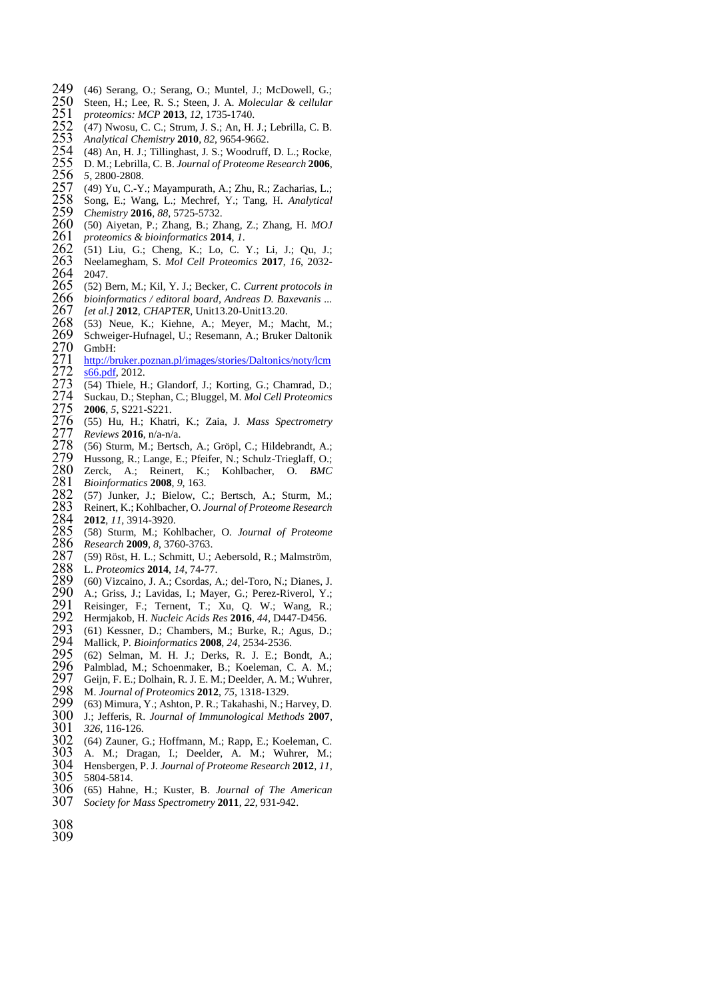- 249 (46) Serang, O.; Serang, O.; Muntel, J.; McDowell, G.; 250 Steen, H.; Lee, R. S.; Steen, J. A. *Molecular & cellular* 251 *proteomics: MCP* 2013, 12, 1735-1740. 252 (47) Nwosu, C. C.; Strum, J. S.; An, H. J.; Lebrilla,
- Steen, H.; Lee, R. S.; Steen, J. A. *Molecular & cellular*
- *proteomics: MCP* **2013**, *12*, 1735-1740.
- 252 (47) Nwosu, C. C.; Strum, J. S.; An, H. J.; Lebrilla, C. B.<br>253 Analytical Chemistry 2010, 82, 9654-9662.<br>254 (48) An, H. J.; Tillinghast, J. S.; Woodruff, D. L.; Rocke,
- *Analytical Chemistry* **2010**, *82*, 9654-9662.
- 254 (48) An, H. J.; Tillinghast, J. S.; Woodruff, D. L.; Rocke, 255 D. M.: Lebrilla, C. B. Journal of Proteome Research 2006.
- D. M.; Lebrilla, C. B. *Journal of Proteome Research* **2006**,
- (49) Yu, C.-Y.; Mayampurath, A.; Zhu, R.; Zacharias, L.;
- 256 5, 2800-2808<br>257 (49) Yu, C.-Y<br>258 Song, E.; W:<br>259 Chemistry 20 Song, E.; Wang, L.; Mechref, Y.; Tang, H. *Analytical*
- 
- *Chemistry* **2016**, *88*, 5725-5732. (50) Aiyetan, P.; Zhang, B.; Zhang, Z.; Zhang, H. *MOJ*
- *proteomics & bioinformatics* **2014**, *1*.
- (51) Liu, G.; Cheng, K.; Lo, C. Y.; Li, J.; Qu, J.;
- Neelamegham, S. *Mol Cell Proteomics* **2017**, *16*, 2032- Neela<br>  $264$  2047.<br>  $265$  (52) B
- (52) Bern, M.; Kil, Y. J.; Becker, C. *Current protocols in*
- *bioinformatics / editoral board, Andreas D. Baxevanis ...*
- *[et al.]* **2012**, *CHAPTER*, Unit13.20-Unit13.20.
- (53) Neue, K.; Kiehne, A.; Meyer, M.; Macht, M.;
- Schweiger-Hufnagel, U.; Resemann, A.; Bruker Daltonik GmbH:<br>271 http://bi
- [http://bruker.poznan.pl/images/stories/Daltonics/noty/lcm](http://bruker.poznan.pl/images/stories/Daltonics/noty/lcms66.pdf)<br>272 s66.pdf, 2012.  $\frac{272}{273}$   $\frac{66. \text{pdf}}{54}$ , 2012.
- 273 (54) Thiele, H.; Glandorf, J.; Korting, G.; Chamrad, D.; 274 Suckau, D.: Stephan, C.; Bluggel, M. *Mol Cell Proteomics*
- Suckau, D.; Stephan, C.; Bluggel, M. *Mol Cell Proteomics*
- 
- 275 **2006**, 5, S221-S221.<br>276 (55) Hu, H.; Khati<br>277 *Reviews* **2016**, n/a-n/ (55) Hu, H.; Khatri, K.; Zaia, J. *Mass Spectrometry*
- *Reviews* **2016**, n/a-n/a.
- 278 (56) Sturm, M.; Bertsch, A.; Gröpl, C.; Hildebrandt, A.; 279 Hussong, R.; Lange, E.; Pfeifer, N.; Schulz-Trieglaff, O.; 280 Zerck, A.; Reinert, K.; Kohlbacher, O. *BMC* Hussong, R.; Lange, E.; Pfeifer, N.; Schulz-Trieglaff, O.;
- Zerck, A.; Reinert, K.; Kohlbacher, O. *BMC*
- *Bioinformatics* **2008**, *9*, 163.
- 282 (57) Junker, J.; Bielow, C.; Bertsch, A.; Sturm, M.; 283 Reinert, K.; Kohlbacher, O. Journal of Proteome Research 284 2012, *11*, 3914-3920.<br>285 (58) Sturm, M.; Kohlbacher, O. Journal of Proteome Reinert, K.; Kohlbacher, O. *Journal of Proteome Research* **2012**, *11*, 3914-3920.
- (58) Sturm, M.; Kohlbacher, O. *Journal of Proteome*
- *Research* **2009**, *8*, 3760-3763.
- 287 (59) Röst, H. L.; Schmitt, U.; Aebersold, R.; Malmström, 288 L. *Proteomics* 2014, *14*, 74-77.
- L. *Proteomics* **2014**, *14*, 74-77.
- 289 (60) Vizcaino, J. A.; Csordas, A.; del-Toro, N.; Dianes, J.<br>290 A.: Griss, J.: Lavidas, L.: Mayer, G.: Perez-Riverol, Y.:
- 290 A.; Griss, J.; Lavidas, I.; Mayer, G.; Perez-Riverol, Y.; 291 Reisinger, F.: Ternent, T.: Xu, O. W.: Wang, R.;
- 291 Reisinger, F.; Ternent, T.; Xu, Q. W.; Wang, R.; 292 Hermiakob, H. Nucleic Acids Res 2016, 44, D447-D456.
- Hermjakob, H. *Nucleic Acids Res* **2016**, *44*, D447-D456.
- 293 (61) Kessner, D.; Chambers, M.; Burke, R.; Agus, D.; 294 Mallick. P. *Bioinformatics* 2008. 24, 2534-2536. Mallick, P. *Bioinformatics* **2008**, *24*, 2534-2536.
- (62) Selman, M. H. J.; Derks, R. J. E.; Bondt, A.;
- 296 Palmblad, M.; Schoenmaker, B.; Koeleman, C. A. M.;<br>297 Geiin, F. E.; Dolhain, R. J. E. M.; Deelder, A. M.; Wuhrer,
- 297 Geijn, F. E.; Dolhain, R. J. E. M.; Deelder, A. M.; Wuhrer,<br>298 M. Journal of Proteomics 2012, 75, 1318-1329.
- M. *Journal of Proteomics* **2012**, *75*, 1318-1329.
- 299 (63) Mimura, Y.; Ashton, P. R.; Takahashi, N.; Harvey, D.<br>300 J.: Jefferis, R. *Journal of Immunological Methods* 2007.
- J.; Jefferis, R. *Journal of Immunological Methods* **2007**,
- *326*, 116-126.
- (64) Zauner, G.; Hoffmann, M.; Rapp, E.; Koeleman, C.
- 303 A. M.; Dragan, I.; Deelder, A. M.; Wuhrer, M.; 304 Hensbergen, P.J. Journal of Proteome Research 2012, 11. Hensbergen, P. J. *Journal of Proteome Research* **2012**, *11*,
- 
- 305 5804-5814.<br>306 (65) Hahne (65) Hahne, H.; Kuster, B. *Journal of The American*
- *Society for Mass Spectrometry* **2011**, *22*, 931-942.
-